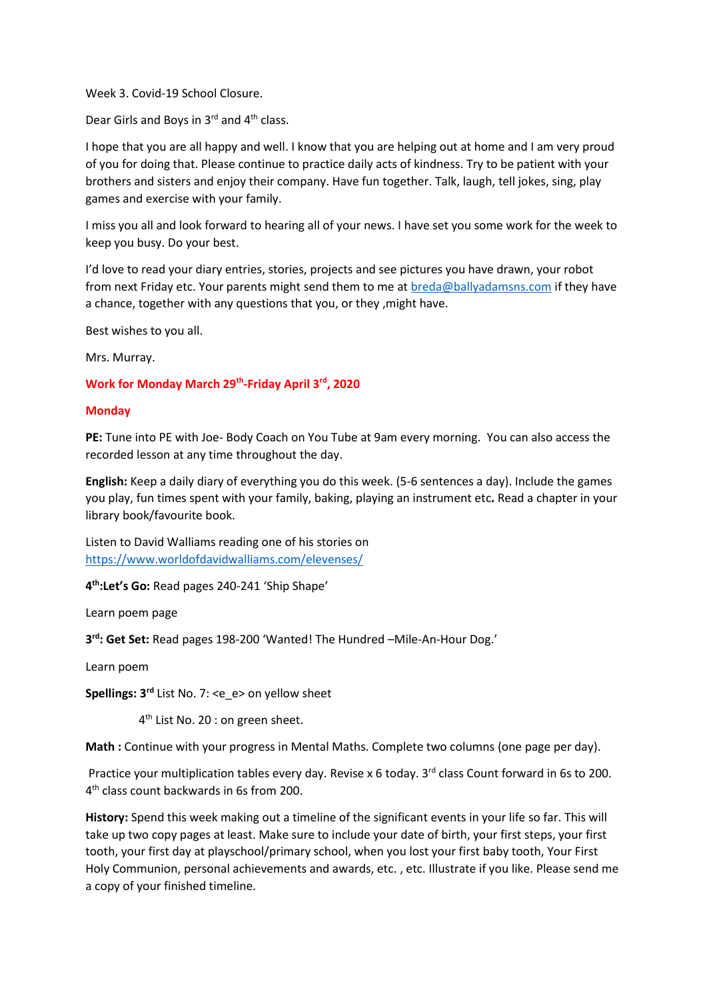Week 3. Covid-19 School Closure.

Dear Girls and Boys in 3rd and 4th class.

I hope that you are all happy and well. I know that you are helping out at home and I am very proud of you for doing that. Please continue to practice daily acts of kindness. Try to be patient with your brothers and sisters and enjoy their company. Have fun together. Talk, laugh, tell jokes, sing, play games and exercise with your family.

I miss you all and look forward to hearing all of your news. I have set you some work for the week to keep you busy. Do your best.

I'd love to read your diary entries, stories, projects and see pictures you have drawn, your robot from next Friday etc. Your parents might send them to me at [breda@ballyadamsns.com](mailto:breda@ballyadamsns.com) if they have a chance, together with any questions that you, or they ,might have.

Best wishes to you all.

Mrs. Murray.

# **Work for Monday March 29th -Friday April 3rd, 2020**

#### **Monday**

**PE:** Tune into PE with Joe- Body Coach on You Tube at 9am every morning. You can also access the recorded lesson at any time throughout the day.

**English:** Keep a daily diary of everything you do this week. (5-6 sentences a day). Include the games you play, fun times spent with your family, baking, playing an instrument etc**.** Read a chapter in your library book/favourite book.

Listen to David Walliams reading one of his stories on <https://www.worldofdavidwalliams.com/elevenses/>

**4 th:Let's Go:** Read pages 240-241 'Ship Shape'

Learn poem page

**3 rd: Get Set:** Read pages 198-200 'Wanted! The Hundred –Mile-An-Hour Dog.'

Learn poem

**Spellings: 3rd** List No. 7: <e\_e> on yellow sheet

4<sup>th</sup> List No. 20 : on green sheet.

**Math :** Continue with your progress in Mental Maths. Complete two columns (one page per day).

Practice your multiplication tables every day. Revise x 6 today. 3<sup>rd</sup> class Count forward in 6s to 200. 4 th class count backwards in 6s from 200.

**History:** Spend this week making out a timeline of the significant events in your life so far. This will take up two copy pages at least. Make sure to include your date of birth, your first steps, your first tooth, your first day at playschool/primary school, when you lost your first baby tooth, Your First Holy Communion, personal achievements and awards, etc. , etc. Illustrate if you like. Please send me a copy of your finished timeline.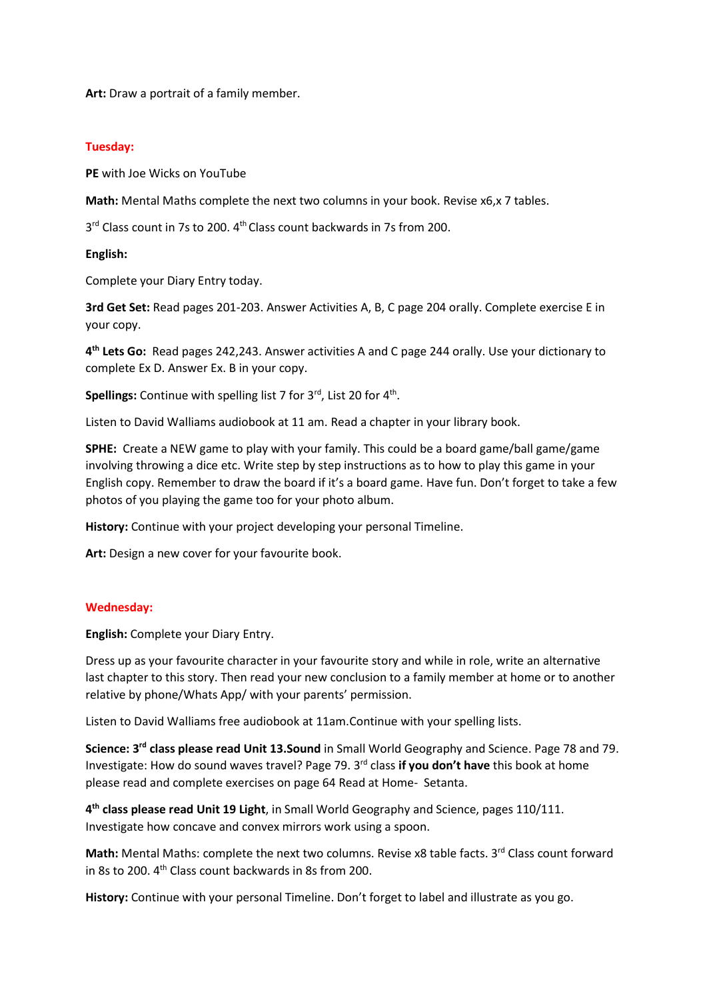**Art:** Draw a portrait of a family member.

#### **Tuesday:**

**PE** with Joe Wicks on YouTube

**Math:** Mental Maths complete the next two columns in your book. Revise x6,x 7 tables.

3<sup>rd</sup> Class count in 7s to 200. 4<sup>th</sup> Class count backwards in 7s from 200.

#### **English:**

Complete your Diary Entry today.

**3rd Get Set:** Read pages 201-203. Answer Activities A, B, C page 204 orally. Complete exercise E in your copy.

**4 th Lets Go:** Read pages 242,243. Answer activities A and C page 244 orally. Use your dictionary to complete Ex D. Answer Ex. B in your copy.

Spellings: Continue with spelling list 7 for 3<sup>rd</sup>, List 20 for 4<sup>th</sup>.

Listen to David Walliams audiobook at 11 am. Read a chapter in your library book.

**SPHE:** Create a NEW game to play with your family. This could be a board game/ball game/game involving throwing a dice etc. Write step by step instructions as to how to play this game in your English copy. Remember to draw the board if it's a board game. Have fun. Don't forget to take a few photos of you playing the game too for your photo album.

**History:** Continue with your project developing your personal Timeline.

**Art:** Design a new cover for your favourite book.

## **Wednesday:**

**English:** Complete your Diary Entry.

Dress up as your favourite character in your favourite story and while in role, write an alternative last chapter to this story. Then read your new conclusion to a family member at home or to another relative by phone/Whats App/ with your parents' permission.

Listen to David Walliams free audiobook at 11am.Continue with your spelling lists.

Science: 3<sup>rd</sup> class please read Unit 13.Sound in Small World Geography and Science. Page 78 and 79. Investigate: How do sound waves travel? Page 79. 3<sup>rd</sup> class if you don't have this book at home please read and complete exercises on page 64 Read at Home- Setanta.

**4 th class please read Unit 19 Light**, in Small World Geography and Science, pages 110/111. Investigate how concave and convex mirrors work using a spoon.

**Math:** Mental Maths: complete the next two columns. Revise x8 table facts. 3<sup>rd</sup> Class count forward in 8s to 200. 4<sup>th</sup> Class count backwards in 8s from 200.

**History:** Continue with your personal Timeline. Don't forget to label and illustrate as you go.